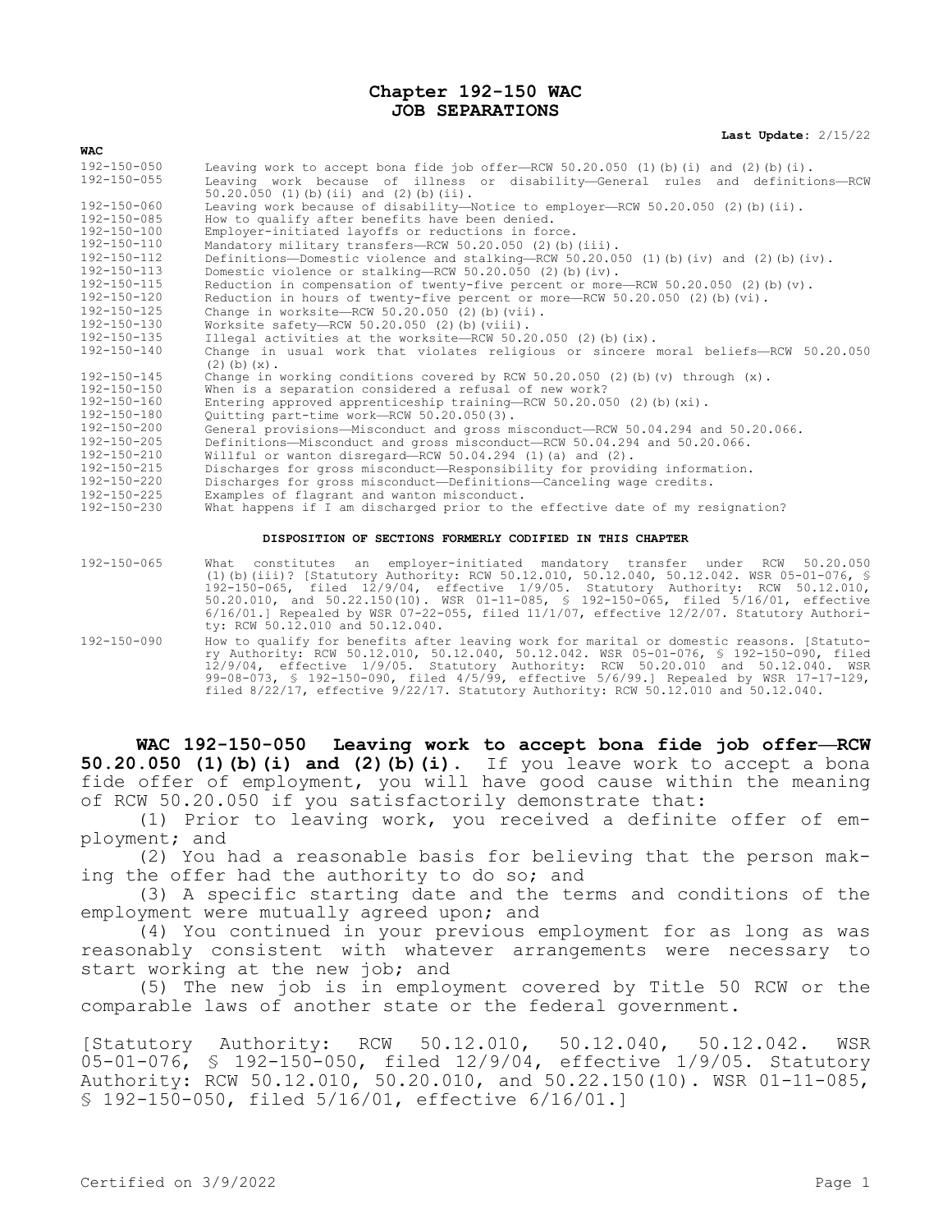## **Chapter 192-150 WAC JOB SEPARATIONS**

**Last Update:** 2/15/22

| <b>WAC</b>        |                                                                                                                               |
|-------------------|-------------------------------------------------------------------------------------------------------------------------------|
| $192 - 150 - 050$ | Leaving work to accept bona fide job offer-RCW 50.20.050 (1) (b) (i) and (2) (b) (i).                                         |
| 192-150-055       | Leaving work because of illness or disability-General rules and definitions-RCW<br>$50.20.050$ (1) (b) (ii) and (2) (b) (ii). |
| $192 - 150 - 060$ | Leaving work because of disability—Notice to employer—RCW 50.20.050 (2)(b)(ii).                                               |
| 192-150-085       | How to qualify after benefits have been denied.                                                                               |
| 192-150-100       | Employer-initiated layoffs or reductions in force.                                                                            |
| 192-150-110       | Mandatory military transfers-RCW 50.20.050 (2) (b) (iii).                                                                     |
| 192-150-112       | Definitions-Domestic violence and stalking-RCW 50.20.050 (1) (b) (iv) and (2) (b) (iv).                                       |
| $192 - 150 - 113$ | Domestic violence or stalking-RCW 50.20.050 (2) (b) (iv).                                                                     |
| $192 - 150 - 115$ | Reduction in compensation of twenty-five percent or more-RCW 50.20.050 (2) (b) (v).                                           |
| $192 - 150 - 120$ | Reduction in hours of twenty-five percent or more-RCW 50.20.050 (2) (b) (vi).                                                 |
| 192-150-125       | Change in worksite-RCW $50.20.050$ (2)(b)(vii).                                                                               |
| 192-150-130       | Worksite safety---RCW $50.20.050$ (2)(b)(viii).                                                                               |
| 192-150-135       | Illegal activities at the worksite-RCW 50.20.050 (2) (b) $(ix)$ .                                                             |
| 192-150-140       | Change in usual work that violates religious or sincere moral beliefs-RCW 50.20.050<br>$(2)$ (b) $(x)$ .                      |
| 192-150-145       | Change in working conditions covered by RCW 50.20.050 (2) (b) (v) through $(x)$ .                                             |
| $192 - 150 - 150$ | When is a separation considered a refusal of new work?                                                                        |
| 192-150-160       | Entering approved apprenticeship training-RCW $50.20.050$ (2)(b)(xi).                                                         |
| 192-150-180       | Quitting part-time work-RCW 50.20.050(3).                                                                                     |
| $192 - 150 - 200$ | General provisions-Misconduct and gross misconduct-RCW 50.04.294 and 50.20.066.                                               |
| 192-150-205       | Definitions-Misconduct and gross misconduct-RCW 50.04.294 and 50.20.066.                                                      |
| 192-150-210       | Willful or wanton disregard-RCW 50.04.294 (1) (a) and (2).                                                                    |
| 192-150-215       | Discharges for gross misconduct-Responsibility for providing information.                                                     |
| 192-150-220       | Discharges for gross misconduct-Definitions-Canceling wage credits.                                                           |
| 192-150-225       | Examples of flagrant and wanton misconduct.                                                                                   |
| 192-150-230       | What happens if I am discharged prior to the effective date of my resignation?                                                |
|                   |                                                                                                                               |

## **DISPOSITION OF SECTIONS FORMERLY CODIFIED IN THIS CHAPTER**

| 192-150-065 | What constitutes an employer-initiated mandatory transfer under RCW 50.20.050                                                                                                                                                                                                                                                                                                                                                                                 |
|-------------|---------------------------------------------------------------------------------------------------------------------------------------------------------------------------------------------------------------------------------------------------------------------------------------------------------------------------------------------------------------------------------------------------------------------------------------------------------------|
|             | (1)(b)(iii)? [Statutory Authority: RCW 50.12.010, 50.12.040, 50.12.042. WSR 05-01-076, §                                                                                                                                                                                                                                                                                                                                                                      |
|             | $192-150-065$ , filed $12/9/04$ , effective $1/9/05$ . Statutory Authority: RCW 50.12.010,                                                                                                                                                                                                                                                                                                                                                                    |
|             | 50.20.010, and 50.22.150(10). WSR 01-11-085, § 192-150-065, filed 5/16/01, effective                                                                                                                                                                                                                                                                                                                                                                          |
|             | $6/16/01.$ Repealed by WSR 07-22-055, filed $11/1/07$ , effective $12/2/07$ . Statutory Authori-<br>ty: RCW 50.12.010 and 50.12.040.                                                                                                                                                                                                                                                                                                                          |
| 192-150-090 | How to qualify for benefits after leaving work for marital or domestic reasons. [Statuto-<br>ry Authority: RCW 50.12.010, 50.12.040, 50.12.042. WSR 05-01-076, § 192-150-090, filed<br>12/9/04, effective 1/9/05. Statutory Authority: RCW 50.20.010 and 50.12.040. WSR<br>99-08-073, § 192-150-090, filed 4/5/99, effective 5/6/99.1 Repealed by WSR 17-17-129,<br>filed $8/22/17$ , effective $9/22/17$ . Statutory Authority: RCW 50.12.010 and 50.12.040. |

**WAC 192-150-050 Leaving work to accept bona fide job offer—RCW 50.20.050 (1)(b)(i) and (2)(b)(i).** If you leave work to accept a bona fide offer of employment, you will have good cause within the meaning of RCW 50.20.050 if you satisfactorily demonstrate that:

(1) Prior to leaving work, you received a definite offer of employment; and

(2) You had a reasonable basis for believing that the person making the offer had the authority to do so; and

(3) A specific starting date and the terms and conditions of the employment were mutually agreed upon; and

(4) You continued in your previous employment for as long as was reasonably consistent with whatever arrangements were necessary to start working at the new job; and

(5) The new job is in employment covered by Title 50 RCW or the comparable laws of another state or the federal government.

[Statutory Authority: RCW 50.12.010, 50.12.040, 50.12.042. WSR 05-01-076, § 192-150-050, filed 12/9/04, effective 1/9/05. Statutory Authority: RCW 50.12.010, 50.20.010, and 50.22.150(10). WSR 01-11-085, § 192-150-050, filed 5/16/01, effective 6/16/01.]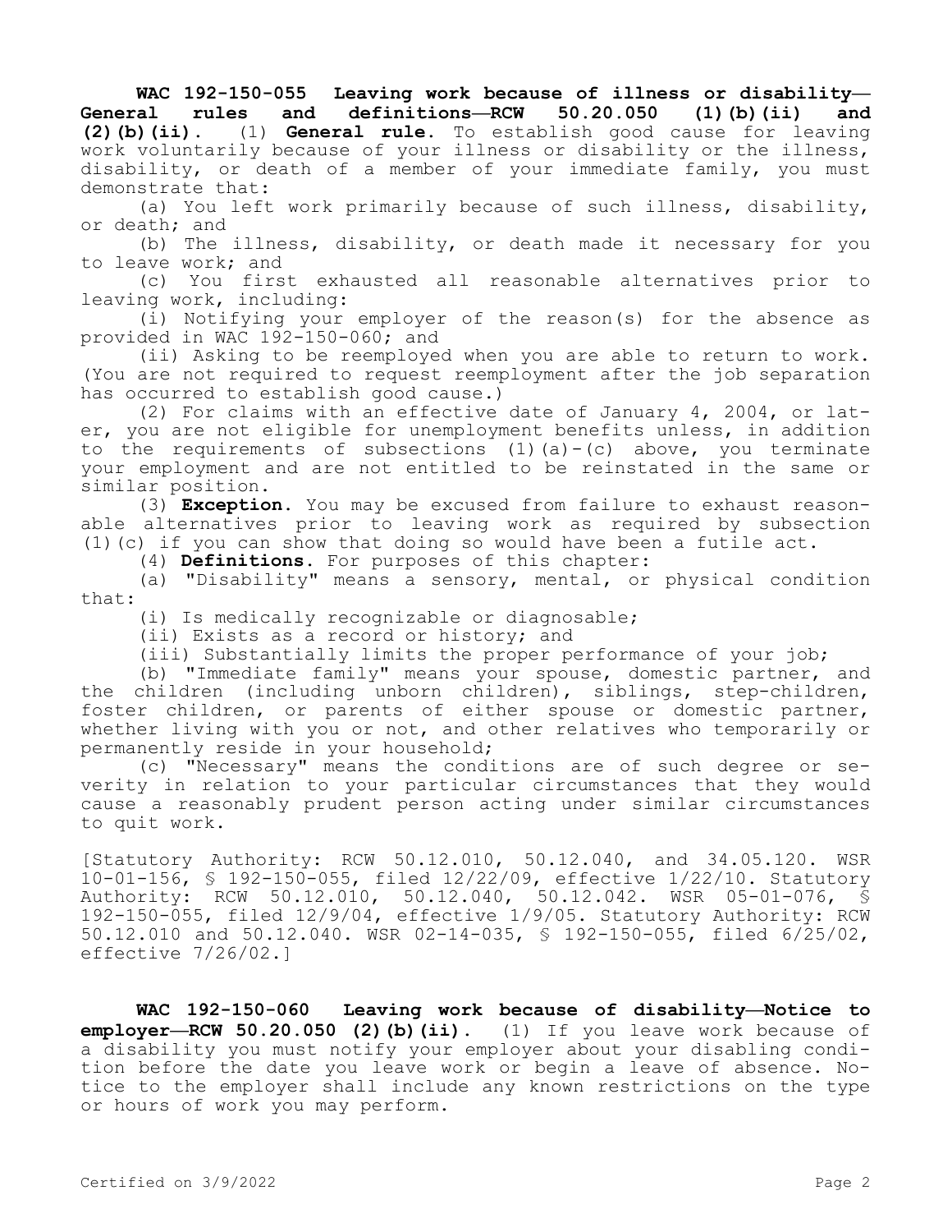**WAC 192-150-055 Leaving work because of illness or disability— General rules and definitions—RCW 50.20.050 (1)(b)(ii) and (2)(b)(ii).** (1) **General rule.** To establish good cause for leaving work voluntarily because of your illness or disability or the illness, disability, or death of a member of your immediate family, you must demonstrate that:

(a) You left work primarily because of such illness, disability, or death; and

(b) The illness, disability, or death made it necessary for you to leave work; and

(c) You first exhausted all reasonable alternatives prior to leaving work, including:

(i) Notifying your employer of the reason(s) for the absence as provided in WAC 192-150-060; and

(ii) Asking to be reemployed when you are able to return to work. (You are not required to request reemployment after the job separation has occurred to establish good cause.)

(2) For claims with an effective date of January 4, 2004, or later, you are not eligible for unemployment benefits unless, in addition to the requirements of subsections  $(1)$   $(a) - (c)$  above, you terminate your employment and are not entitled to be reinstated in the same or similar position.

(3) **Exception.** You may be excused from failure to exhaust reasonable alternatives prior to leaving work as required by subsection (1)(c) if you can show that doing so would have been a futile act.

(4) **Definitions.** For purposes of this chapter:

(a) "Disability" means a sensory, mental, or physical condition that:

(i) Is medically recognizable or diagnosable;

(ii) Exists as a record or history; and

(iii) Substantially limits the proper performance of your job;

(b) "Immediate family" means your spouse, domestic partner, and the children (including unborn children), siblings, step-children, foster children, or parents of either spouse or domestic partner, whether living with you or not, and other relatives who temporarily or permanently reside in your household;

(c) "Necessary" means the conditions are of such degree or severity in relation to your particular circumstances that they would cause a reasonably prudent person acting under similar circumstances to quit work.

[Statutory Authority: RCW 50.12.010, 50.12.040, and 34.05.120. WSR 10-01-156, § 192-150-055, filed 12/22/09, effective 1/22/10. Statutory Authority: RCW 50.12.010, 50.12.040, 50.12.042. WSR 05-01-076, § 192-150-055, filed 12/9/04, effective 1/9/05. Statutory Authority: RCW 50.12.010 and 50.12.040. WSR 02-14-035, § 192-150-055, filed 6/25/02, effective 7/26/02.]

**WAC 192-150-060 Leaving work because of disability—Notice to employer—RCW 50.20.050 (2)(b)(ii).** (1) If you leave work because of a disability you must notify your employer about your disabling condition before the date you leave work or begin a leave of absence. Notice to the employer shall include any known restrictions on the type or hours of work you may perform.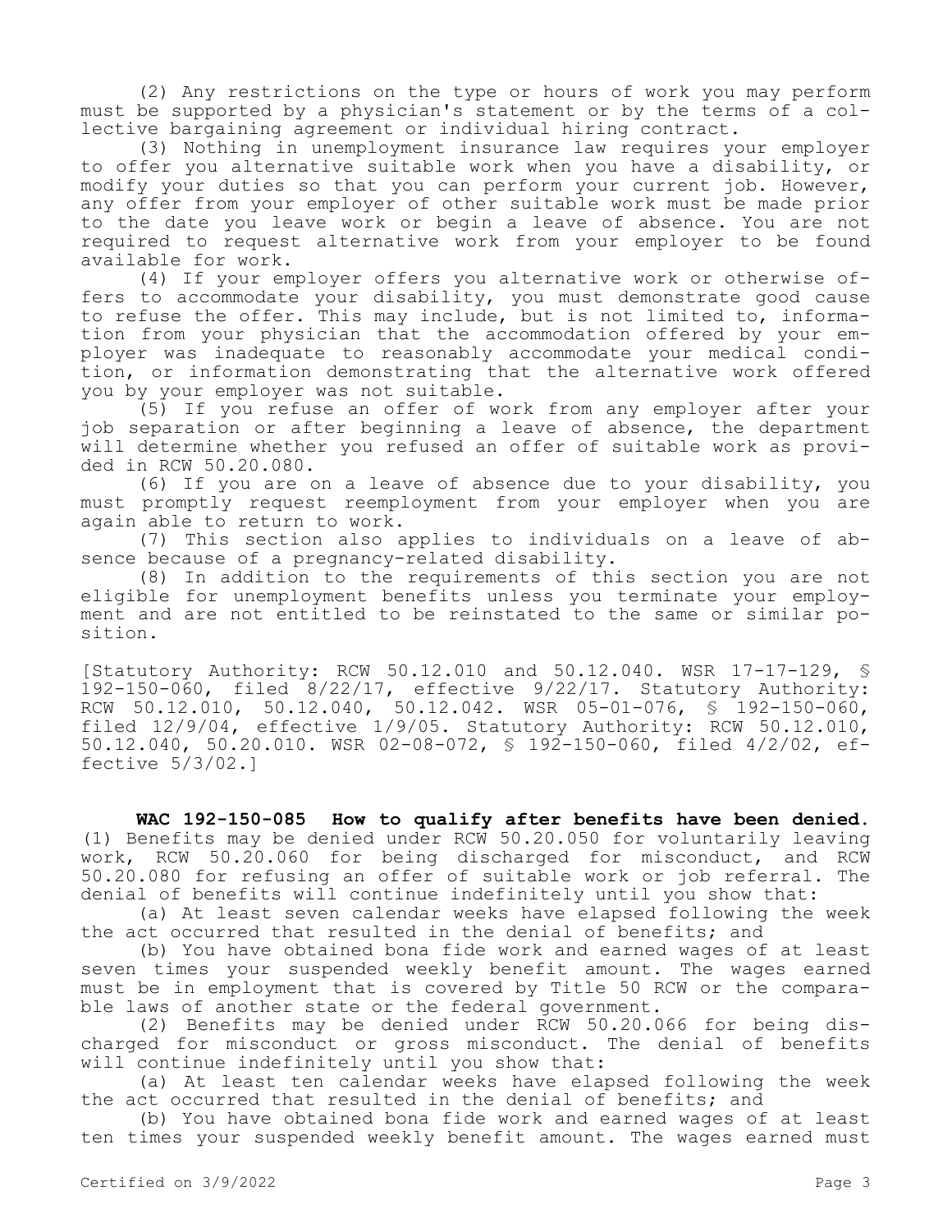(2) Any restrictions on the type or hours of work you may perform must be supported by a physician's statement or by the terms of a collective bargaining agreement or individual hiring contract.

(3) Nothing in unemployment insurance law requires your employer to offer you alternative suitable work when you have a disability, or modify your duties so that you can perform your current job. However, any offer from your employer of other suitable work must be made prior to the date you leave work or begin a leave of absence. You are not required to request alternative work from your employer to be found available for work.

(4) If your employer offers you alternative work or otherwise offers to accommodate your disability, you must demonstrate good cause to refuse the offer. This may include, but is not limited to, information from your physician that the accommodation offered by your employer was inadequate to reasonably accommodate your medical condition, or information demonstrating that the alternative work offered you by your employer was not suitable.

(5) If you refuse an offer of work from any employer after your job separation or after beginning a leave of absence, the department will determine whether you refused an offer of suitable work as provided in RCW 50.20.080.

(6) If you are on a leave of absence due to your disability, you must promptly request reemployment from your employer when you are again able to return to work.

(7) This section also applies to individuals on a leave of absence because of a pregnancy-related disability.

(8) In addition to the requirements of this section you are not eligible for unemployment benefits unless you terminate your employment and are not entitled to be reinstated to the same or similar position.

[Statutory Authority: RCW 50.12.010 and 50.12.040. WSR 17-17-129, § 192-150-060, filed 8/22/17, effective 9/22/17. Statutory Authority: RCW 50.12.010, 50.12.040, 50.12.042. WSR 05-01-076, § 192-150-060, filed 12/9/04, effective 1/9/05. Statutory Authority: RCW 50.12.010, 50.12.040, 50.20.010. WSR 02-08-072, § 192-150-060, filed 4/2/02, effective 5/3/02.]

**WAC 192-150-085 How to qualify after benefits have been denied.**  (1) Benefits may be denied under RCW 50.20.050 for voluntarily leaving work, RCW 50.20.060 for being discharged for misconduct, and RCW 50.20.080 for refusing an offer of suitable work or job referral. The denial of benefits will continue indefinitely until you show that:

(a) At least seven calendar weeks have elapsed following the week the act occurred that resulted in the denial of benefits; and

(b) You have obtained bona fide work and earned wages of at least seven times your suspended weekly benefit amount. The wages earned must be in employment that is covered by Title 50 RCW or the comparable laws of another state or the federal government.

(2) Benefits may be denied under RCW 50.20.066 for being discharged for misconduct or gross misconduct. The denial of benefits will continue indefinitely until you show that:

(a) At least ten calendar weeks have elapsed following the week the act occurred that resulted in the denial of benefits; and

(b) You have obtained bona fide work and earned wages of at least ten times your suspended weekly benefit amount. The wages earned must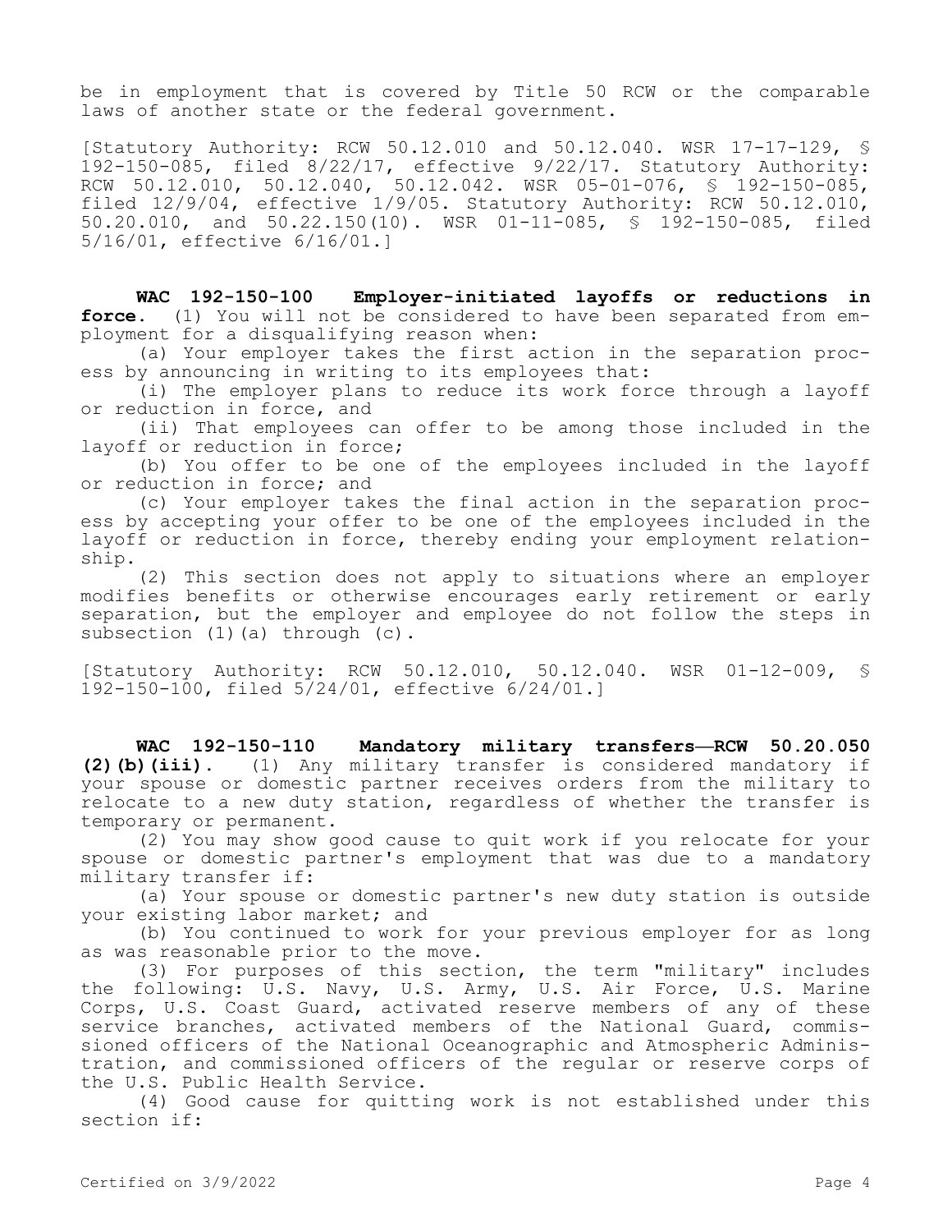be in employment that is covered by Title 50 RCW or the comparable laws of another state or the federal government.

[Statutory Authority: RCW 50.12.010 and 50.12.040. WSR 17-17-129, § 192-150-085, filed 8/22/17, effective 9/22/17. Statutory Authority: RCW 50.12.010, 50.12.040, 50.12.042. WSR 05-01-076, § 192-150-085, filed 12/9/04, effective 1/9/05. Statutory Authority: RCW 50.12.010, 50.20.010, and 50.22.150(10). WSR 01-11-085, § 192-150-085, filed 5/16/01, effective 6/16/01.]

**WAC 192-150-100 Employer-initiated layoffs or reductions in force.** (1) You will not be considered to have been separated from employment for a disqualifying reason when:

(a) Your employer takes the first action in the separation process by announcing in writing to its employees that:

(i) The employer plans to reduce its work force through a layoff or reduction in force, and

(ii) That employees can offer to be among those included in the layoff or reduction in force;

(b) You offer to be one of the employees included in the layoff or reduction in force; and

(c) Your employer takes the final action in the separation process by accepting your offer to be one of the employees included in the layoff or reduction in force, thereby ending your employment relationship.

(2) This section does not apply to situations where an employer modifies benefits or otherwise encourages early retirement or early separation, but the employer and employee do not follow the steps in subsection (1)(a) through (c).

[Statutory Authority: RCW 50.12.010, 50.12.040. WSR 01-12-009, § 192-150-100, filed 5/24/01, effective 6/24/01.]

**WAC 192-150-110 Mandatory military transfers—RCW 50.20.050 (2)(b)(iii).** (1) Any military transfer is considered mandatory if your spouse or domestic partner receives orders from the military to relocate to a new duty station, regardless of whether the transfer is temporary or permanent.

(2) You may show good cause to quit work if you relocate for your spouse or domestic partner's employment that was due to a mandatory military transfer if:

(a) Your spouse or domestic partner's new duty station is outside your existing labor market; and

(b) You continued to work for your previous employer for as long as was reasonable prior to the move.

(3) For purposes of this section, the term "military" includes the following: U.S. Navy, U.S. Army, U.S. Air Force, U.S. Marine Corps, U.S. Coast Guard, activated reserve members of any of these service branches, activated members of the National Guard, commissioned officers of the National Oceanographic and Atmospheric Administration, and commissioned officers of the regular or reserve corps of the U.S. Public Health Service.

(4) Good cause for quitting work is not established under this section if: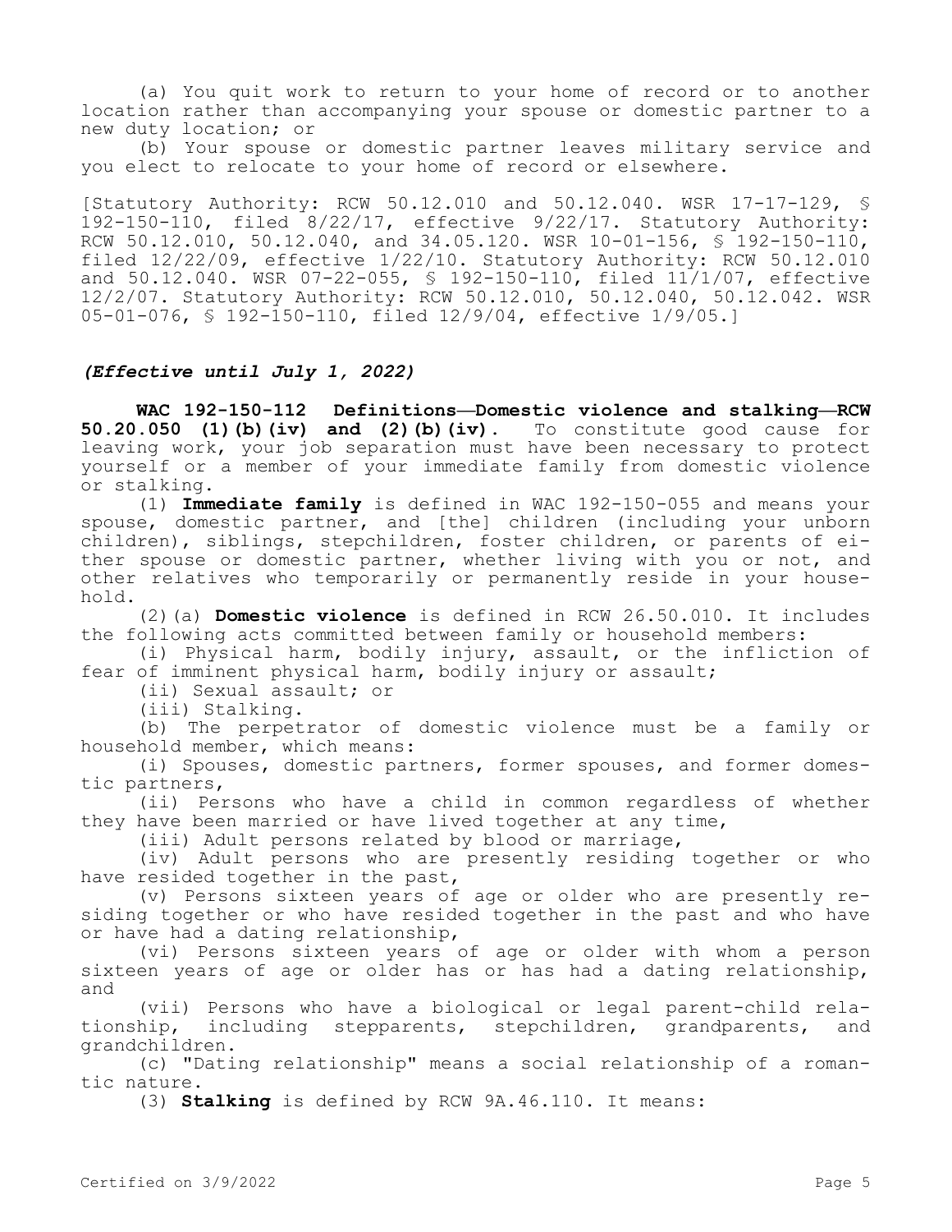(a) You quit work to return to your home of record or to another location rather than accompanying your spouse or domestic partner to a new duty location; or

(b) Your spouse or domestic partner leaves military service and you elect to relocate to your home of record or elsewhere.

[Statutory Authority: RCW 50.12.010 and 50.12.040. WSR 17-17-129, § 192-150-110, filed 8/22/17, effective 9/22/17. Statutory Authority: RCW 50.12.010, 50.12.040, and 34.05.120. WSR 10-01-156,  $\frac{1}{5}$  192-150-110, filed 12/22/09, effective 1/22/10. Statutory Authority: RCW 50.12.010 and 50.12.040. WSR 07-22-055, § 192-150-110, filed 11/1/07, effective 12/2/07. Statutory Authority: RCW 50.12.010, 50.12.040, 50.12.042. WSR 05-01-076, § 192-150-110, filed 12/9/04, effective 1/9/05.]

## *(Effective until July 1, 2022)*

**WAC 192-150-112 Definitions—Domestic violence and stalking—RCW 50.20.050 (1)(b)(iv) and (2)(b)(iv).** To constitute good cause for leaving work, your job separation must have been necessary to protect yourself or a member of your immediate family from domestic violence or stalking.

(1) **Immediate family** is defined in WAC 192-150-055 and means your spouse, domestic partner, and [the] children (including your unborn children), siblings, stepchildren, foster children, or parents of either spouse or domestic partner, whether living with you or not, and other relatives who temporarily or permanently reside in your household.

(2)(a) **Domestic violence** is defined in RCW 26.50.010. It includes the following acts committed between family or household members:

(i) Physical harm, bodily injury, assault, or the infliction of fear of imminent physical harm, bodily injury or assault;

(ii) Sexual assault; or

(iii) Stalking.

(b) The perpetrator of domestic violence must be a family or household member, which means:

(i) Spouses, domestic partners, former spouses, and former domestic partners,

(ii) Persons who have a child in common regardless of whether they have been married or have lived together at any time,

(iii) Adult persons related by blood or marriage,

(iv) Adult persons who are presently residing together or who have resided together in the past,

(v) Persons sixteen years of age or older who are presently residing together or who have resided together in the past and who have or have had a dating relationship,

(vi) Persons sixteen years of age or older with whom a person sixteen years of age or older has or has had a dating relationship, and

(vii) Persons who have a biological or legal parent-child relationship, including stepparents, stepchildren, grandparents, and grandchildren.

(c) "Dating relationship" means a social relationship of a romantic nature.

(3) **Stalking** is defined by RCW 9A.46.110. It means: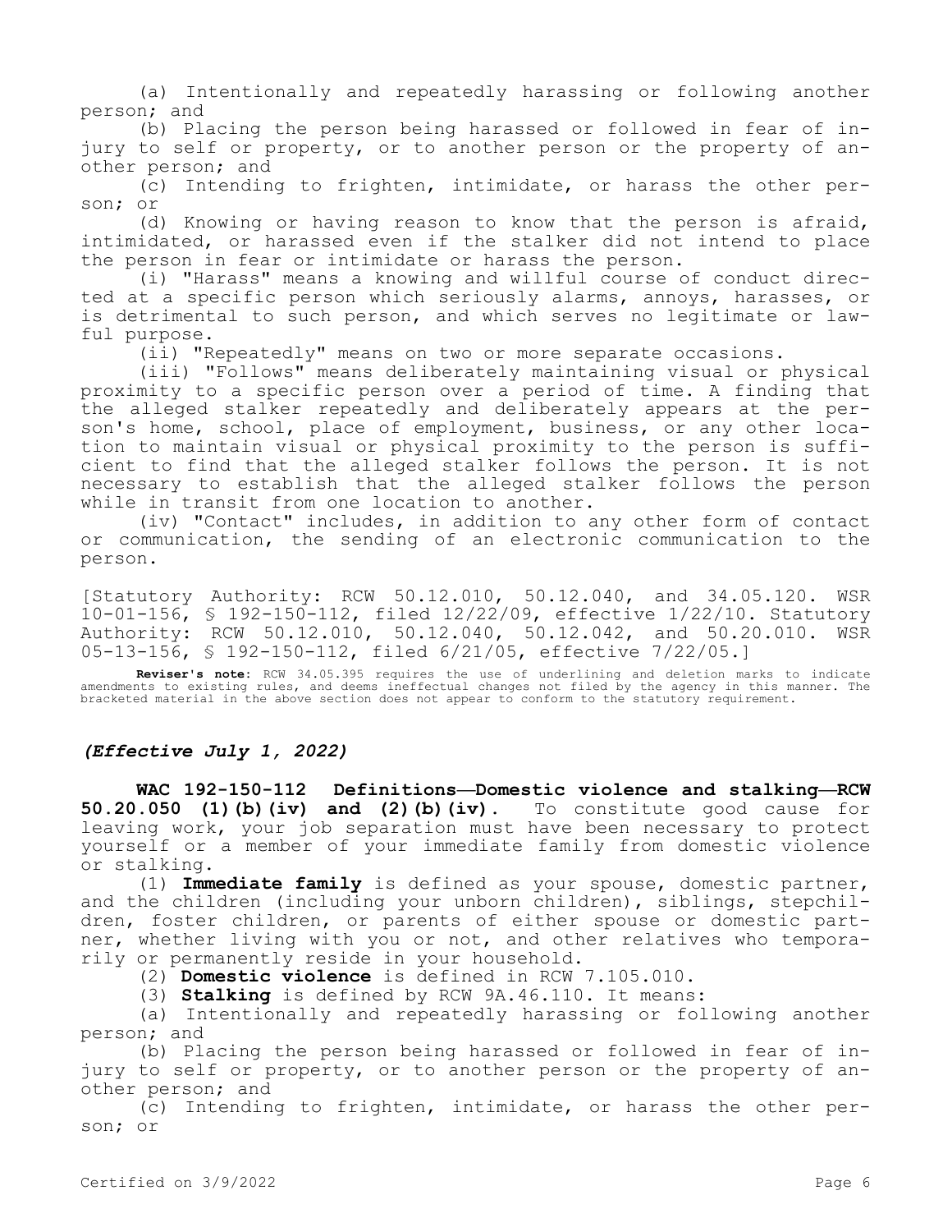(a) Intentionally and repeatedly harassing or following another person; and

(b) Placing the person being harassed or followed in fear of injury to self or property, or to another person or the property of another person; and

(c) Intending to frighten, intimidate, or harass the other person; or

(d) Knowing or having reason to know that the person is afraid, intimidated, or harassed even if the stalker did not intend to place the person in fear or intimidate or harass the person.

(i) "Harass" means a knowing and willful course of conduct directed at a specific person which seriously alarms, annoys, harasses, or is detrimental to such person, and which serves no legitimate or lawful purpose.

(ii) "Repeatedly" means on two or more separate occasions.

(iii) "Follows" means deliberately maintaining visual or physical proximity to a specific person over a period of time. A finding that the alleged stalker repeatedly and deliberately appears at the person's home, school, place of employment, business, or any other location to maintain visual or physical proximity to the person is sufficient to find that the alleged stalker follows the person. It is not necessary to establish that the alleged stalker follows the person while in transit from one location to another.

(iv) "Contact" includes, in addition to any other form of contact or communication, the sending of an electronic communication to the person.

[Statutory Authority: RCW 50.12.010, 50.12.040, and 34.05.120. WSR 10-01-156, § 192-150-112, filed 12/22/09, effective 1/22/10. Statutory Authority: RCW 50.12.010, 50.12.040, 50.12.042, and 50.20.010. WSR 05-13-156, § 192-150-112, filed 6/21/05, effective 7/22/05.]

**Reviser's note:** RCW 34.05.395 requires the use of underlining and deletion marks to indicate amendments to existing rules, and deems ineffectual changes not filed by the agency in this manner. The bracketed material in the above section does not appear to conform to the statutory requirement.

## *(Effective July 1, 2022)*

**WAC 192-150-112 Definitions—Domestic violence and stalking—RCW 50.20.050 (1)(b)(iv) and (2)(b)(iv).** To constitute good cause for leaving work, your job separation must have been necessary to protect yourself or a member of your immediate family from domestic violence or stalking.

(1) **Immediate family** is defined as your spouse, domestic partner, and the children (including your unborn children), siblings, stepchildren, foster children, or parents of either spouse or domestic partner, whether living with you or not, and other relatives who temporarily or permanently reside in your household.

(2) **Domestic violence** is defined in RCW 7.105.010.

(3) **Stalking** is defined by RCW 9A.46.110. It means:

(a) Intentionally and repeatedly harassing or following another person; and

(b) Placing the person being harassed or followed in fear of injury to self or property, or to another person or the property of another person; and

(c) Intending to frighten, intimidate, or harass the other person; or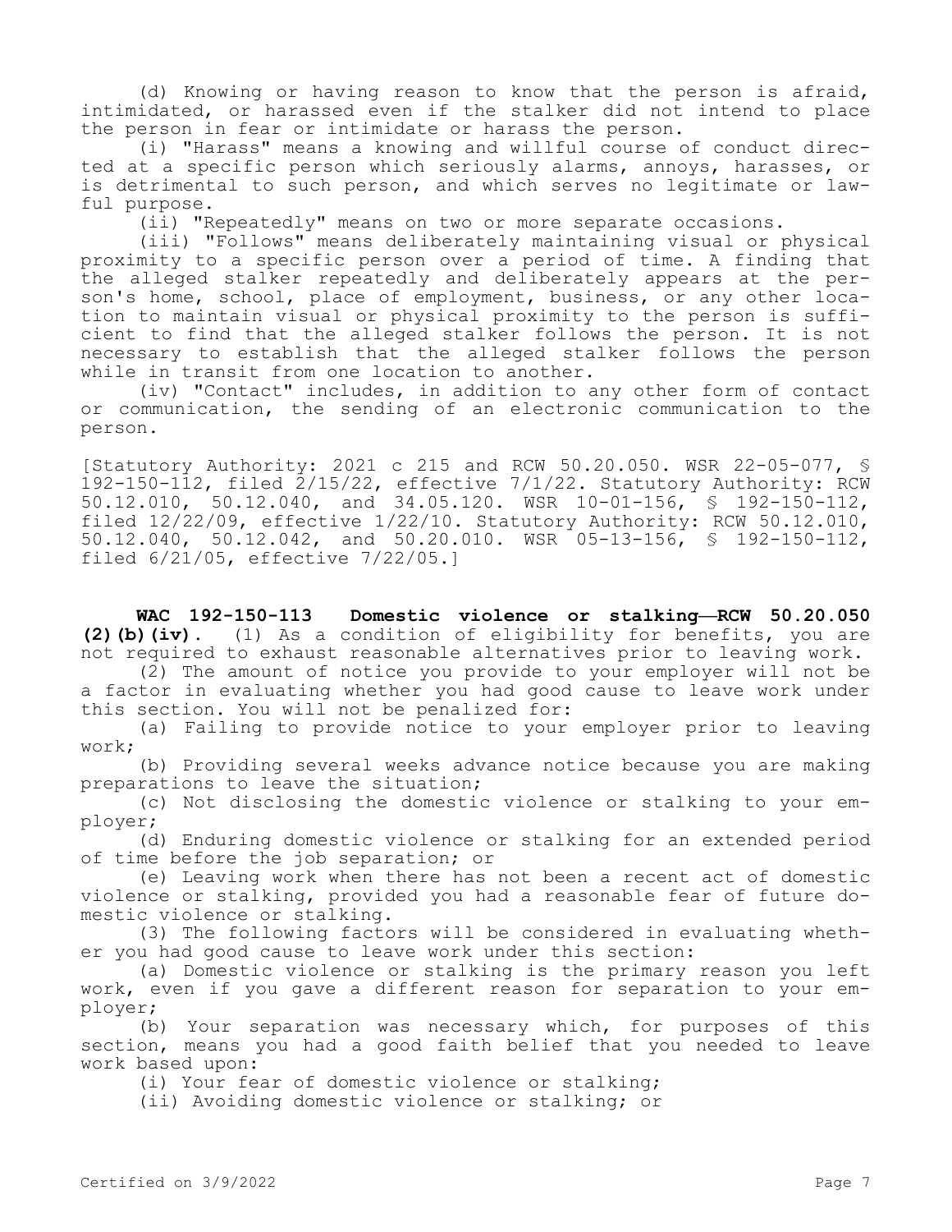(d) Knowing or having reason to know that the person is afraid, intimidated, or harassed even if the stalker did not intend to place the person in fear or intimidate or harass the person.

(i) "Harass" means a knowing and willful course of conduct directed at a specific person which seriously alarms, annoys, harasses, or is detrimental to such person, and which serves no legitimate or lawful purpose.

(ii) "Repeatedly" means on two or more separate occasions.

(iii) "Follows" means deliberately maintaining visual or physical proximity to a specific person over a period of time. A finding that the alleged stalker repeatedly and deliberately appears at the person's home, school, place of employment, business, or any other location to maintain visual or physical proximity to the person is sufficient to find that the alleged stalker follows the person. It is not necessary to establish that the alleged stalker follows the person while in transit from one location to another.

(iv) "Contact" includes, in addition to any other form of contact or communication, the sending of an electronic communication to the person.

[Statutory Authority: 2021 c 215 and RCW 50.20.050. WSR 22-05-077, § 192-150-112, filed 2/15/22, effective 7/1/22. Statutory Authority: RCW 50.12.010, 50.12.040, and 34.05.120. WSR 10-01-156, § 192-150-112, filed  $12/22/09$ , effective  $1/22/10$ . Statutory Authority: RCW 50.12.010, 50.12.040, 50.12.042, and 50.20.010. WSR 05-13-156, § 192-150-112, filed 6/21/05, effective 7/22/05.]

**WAC 192-150-113 Domestic violence or stalking—RCW 50.20.050 (2)(b)(iv).** (1) As a condition of eligibility for benefits, you are not required to exhaust reasonable alternatives prior to leaving work.

(2) The amount of notice you provide to your employer will not be a factor in evaluating whether you had good cause to leave work under this section. You will not be penalized for:

(a) Failing to provide notice to your employer prior to leaving work;

(b) Providing several weeks advance notice because you are making preparations to leave the situation;

(c) Not disclosing the domestic violence or stalking to your employer;

(d) Enduring domestic violence or stalking for an extended period of time before the job separation; or

(e) Leaving work when there has not been a recent act of domestic violence or stalking, provided you had a reasonable fear of future domestic violence or stalking.

(3) The following factors will be considered in evaluating whether you had good cause to leave work under this section:

(a) Domestic violence or stalking is the primary reason you left work, even if you gave a different reason for separation to your employer;

(b) Your separation was necessary which, for purposes of this section, means you had a good faith belief that you needed to leave work based upon:

(i) Your fear of domestic violence or stalking;

(ii) Avoiding domestic violence or stalking; or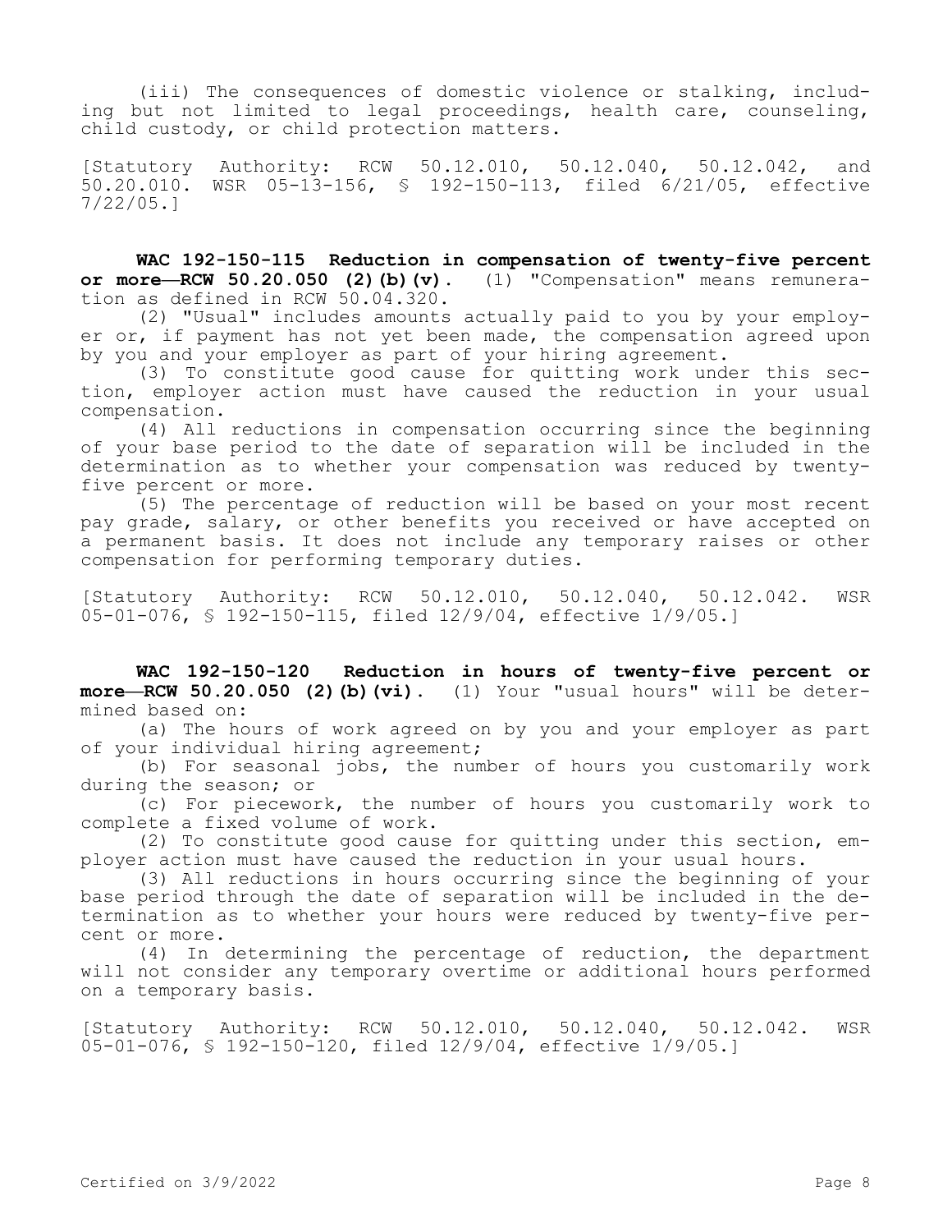(iii) The consequences of domestic violence or stalking, including but not limited to legal proceedings, health care, counseling, child custody, or child protection matters.

[Statutory Authority: RCW 50.12.010, 50.12.040, 50.12.042, and 50.20.010. WSR 05-13-156, § 192-150-113, filed 6/21/05, effective 7/22/05.]

**WAC 192-150-115 Reduction in compensation of twenty-five percent or more—RCW 50.20.050 (2)(b)(v).** (1) "Compensation" means remuneration as defined in RCW 50.04.320.

(2) "Usual" includes amounts actually paid to you by your employer or, if payment has not yet been made, the compensation agreed upon by you and your employer as part of your hiring agreement.

(3) To constitute good cause for quitting work under this section, employer action must have caused the reduction in your usual compensation.

(4) All reductions in compensation occurring since the beginning of your base period to the date of separation will be included in the determination as to whether your compensation was reduced by twentyfive percent or more.

(5) The percentage of reduction will be based on your most recent pay grade, salary, or other benefits you received or have accepted on a permanent basis. It does not include any temporary raises or other compensation for performing temporary duties.

[Statutory Authority: RCW 50.12.010, 50.12.040, 50.12.042. WSR 05-01-076, § 192-150-115, filed 12/9/04, effective 1/9/05.]

**WAC 192-150-120 Reduction in hours of twenty-five percent or more—RCW 50.20.050 (2)(b)(vi).** (1) Your "usual hours" will be determined based on:

(a) The hours of work agreed on by you and your employer as part of your individual hiring agreement;

(b) For seasonal jobs, the number of hours you customarily work during the season; or

(c) For piecework, the number of hours you customarily work to complete a fixed volume of work.

(2) To constitute good cause for quitting under this section, employer action must have caused the reduction in your usual hours.

(3) All reductions in hours occurring since the beginning of your base period through the date of separation will be included in the determination as to whether your hours were reduced by twenty-five percent or more.

(4) In determining the percentage of reduction, the department will not consider any temporary overtime or additional hours performed on a temporary basis.

[Statutory Authority: RCW 50.12.010, 50.12.040, 50.12.042. WSR 05-01-076, § 192-150-120, filed 12/9/04, effective 1/9/05.]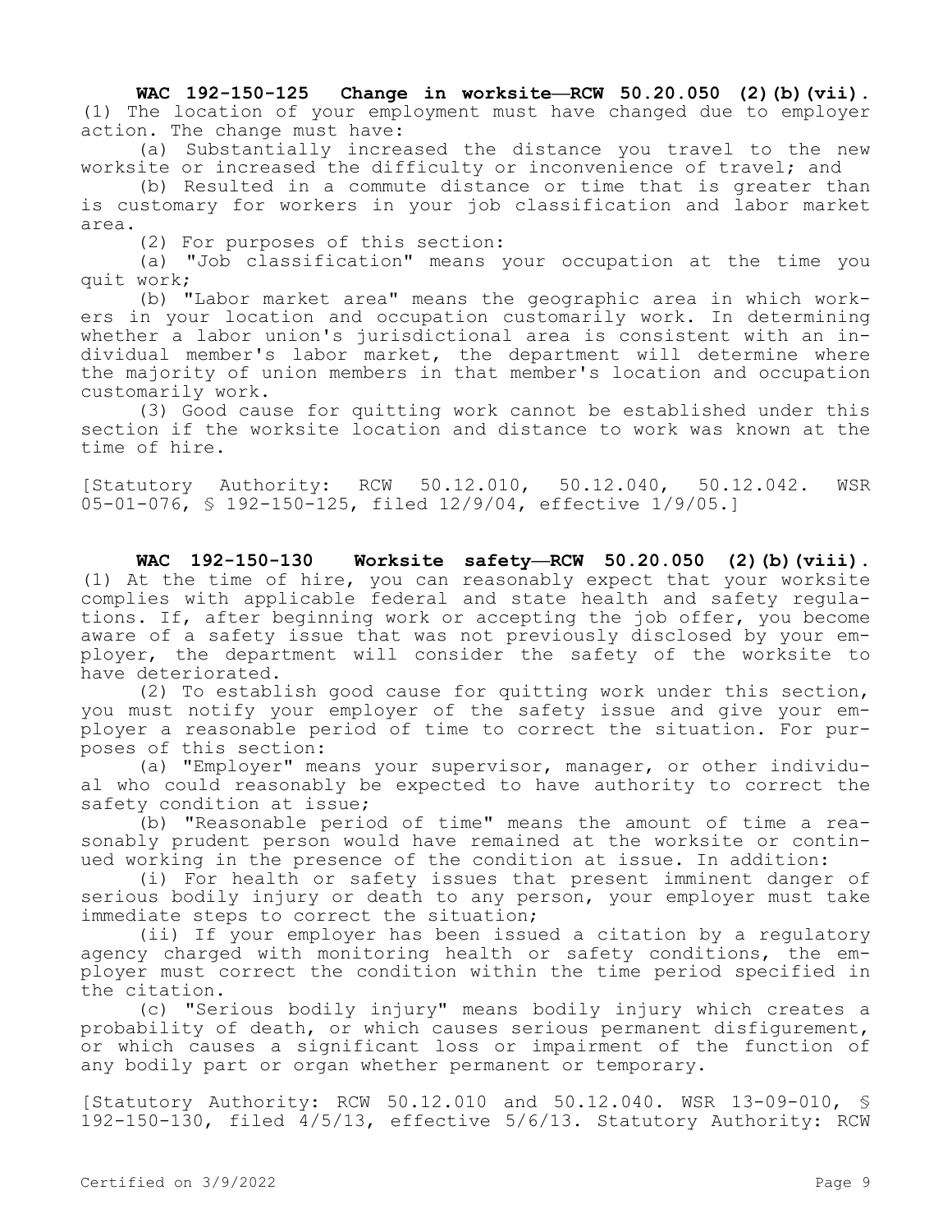**WAC 192-150-125 Change in worksite—RCW 50.20.050 (2)(b)(vii).**  (1) The location of your employment must have changed due to employer action. The change must have:

(a) Substantially increased the distance you travel to the new worksite or increased the difficulty or inconvenience of travel; and

(b) Resulted in a commute distance or time that is greater than is customary for workers in your job classification and labor market area.

(2) For purposes of this section:

(a) "Job classification" means your occupation at the time you quit work;

(b) "Labor market area" means the geographic area in which workers in your location and occupation customarily work. In determining whether a labor union's jurisdictional area is consistent with an individual member's labor market, the department will determine where the majority of union members in that member's location and occupation customarily work.

(3) Good cause for quitting work cannot be established under this section if the worksite location and distance to work was known at the time of hire.

[Statutory Authority: RCW 50.12.010, 50.12.040, 50.12.042. WSR 05-01-076, § 192-150-125, filed 12/9/04, effective 1/9/05.]

**WAC 192-150-130 Worksite safety—RCW 50.20.050 (2)(b)(viii).**  (1) At the time of hire, you can reasonably expect that your worksite complies with applicable federal and state health and safety regulations. If, after beginning work or accepting the job offer, you become aware of a safety issue that was not previously disclosed by your employer, the department will consider the safety of the worksite to have deteriorated.

(2) To establish good cause for quitting work under this section, you must notify your employer of the safety issue and give your employer a reasonable period of time to correct the situation. For purposes of this section:

(a) "Employer" means your supervisor, manager, or other individual who could reasonably be expected to have authority to correct the safety condition at issue;

(b) "Reasonable period of time" means the amount of time a reasonably prudent person would have remained at the worksite or continued working in the presence of the condition at issue. In addition:

(i) For health or safety issues that present imminent danger of serious bodily injury or death to any person, your employer must take immediate steps to correct the situation;

(ii) If your employer has been issued a citation by a regulatory agency charged with monitoring health or safety conditions, the employer must correct the condition within the time period specified in the citation.

(c) "Serious bodily injury" means bodily injury which creates a probability of death, or which causes serious permanent disfigurement, or which causes a significant loss or impairment of the function of any bodily part or organ whether permanent or temporary.

[Statutory Authority: RCW 50.12.010 and 50.12.040. WSR 13-09-010, § 192-150-130, filed 4/5/13, effective 5/6/13. Statutory Authority: RCW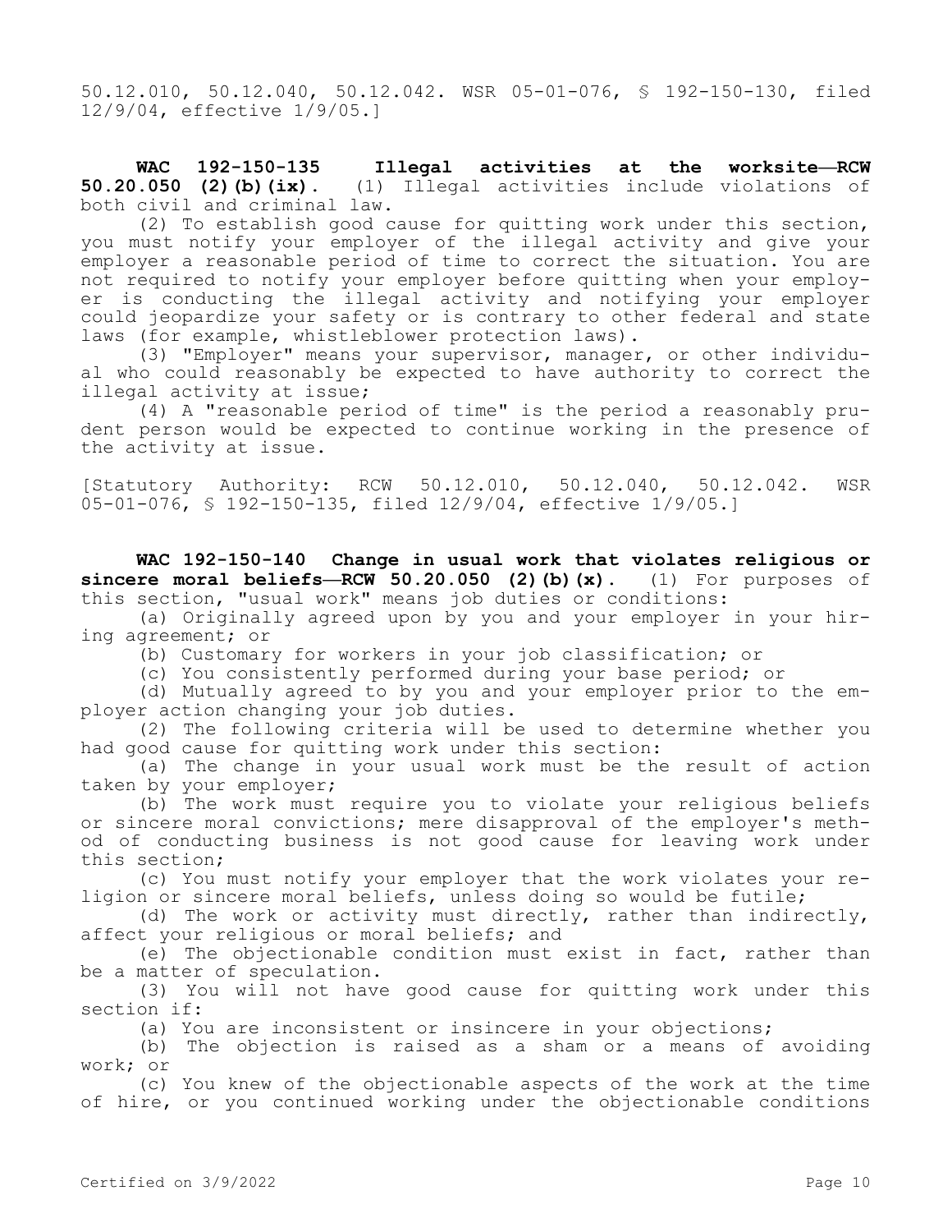50.12.010, 50.12.040, 50.12.042. WSR 05-01-076, § 192-150-130, filed 12/9/04, effective 1/9/05.]

**WAC 192-150-135 Illegal activities at the worksite—RCW 50.20.050 (2)(b)(ix).** (1) Illegal activities include violations of both civil and criminal law.

(2) To establish good cause for quitting work under this section, you must notify your employer of the illegal activity and give your employer a reasonable period of time to correct the situation. You are not required to notify your employer before quitting when your employer is conducting the illegal activity and notifying your employer could jeopardize your safety or is contrary to other federal and state laws (for example, whistleblower protection laws).

(3) "Employer" means your supervisor, manager, or other individual who could reasonably be expected to have authority to correct the illegal activity at issue;

(4) A "reasonable period of time" is the period a reasonably prudent person would be expected to continue working in the presence of the activity at issue.

[Statutory Authority: RCW 50.12.010, 50.12.040, 50.12.042. WSR 05-01-076, § 192-150-135, filed 12/9/04, effective 1/9/05.]

**WAC 192-150-140 Change in usual work that violates religious or sincere moral beliefs—RCW 50.20.050 (2)(b)(x).** (1) For purposes of this section, "usual work" means job duties or conditions:

(a) Originally agreed upon by you and your employer in your hiring agreement; or

(b) Customary for workers in your job classification; or

(c) You consistently performed during your base period; or

(d) Mutually agreed to by you and your employer prior to the employer action changing your job duties.

(2) The following criteria will be used to determine whether you had good cause for quitting work under this section:

(a) The change in your usual work must be the result of action taken by your employer;

(b) The work must require you to violate your religious beliefs or sincere moral convictions; mere disapproval of the employer's method of conducting business is not good cause for leaving work under this section;

(c) You must notify your employer that the work violates your religion or sincere moral beliefs, unless doing so would be futile;

(d) The work or activity must directly, rather than indirectly, affect your religious or moral beliefs; and

(e) The objectionable condition must exist in fact, rather than be a matter of speculation.

(3) You will not have good cause for quitting work under this section if:

(a) You are inconsistent or insincere in your objections;

(b) The objection is raised as a sham or a means of avoiding work; or

(c) You knew of the objectionable aspects of the work at the time of hire, or you continued working under the objectionable conditions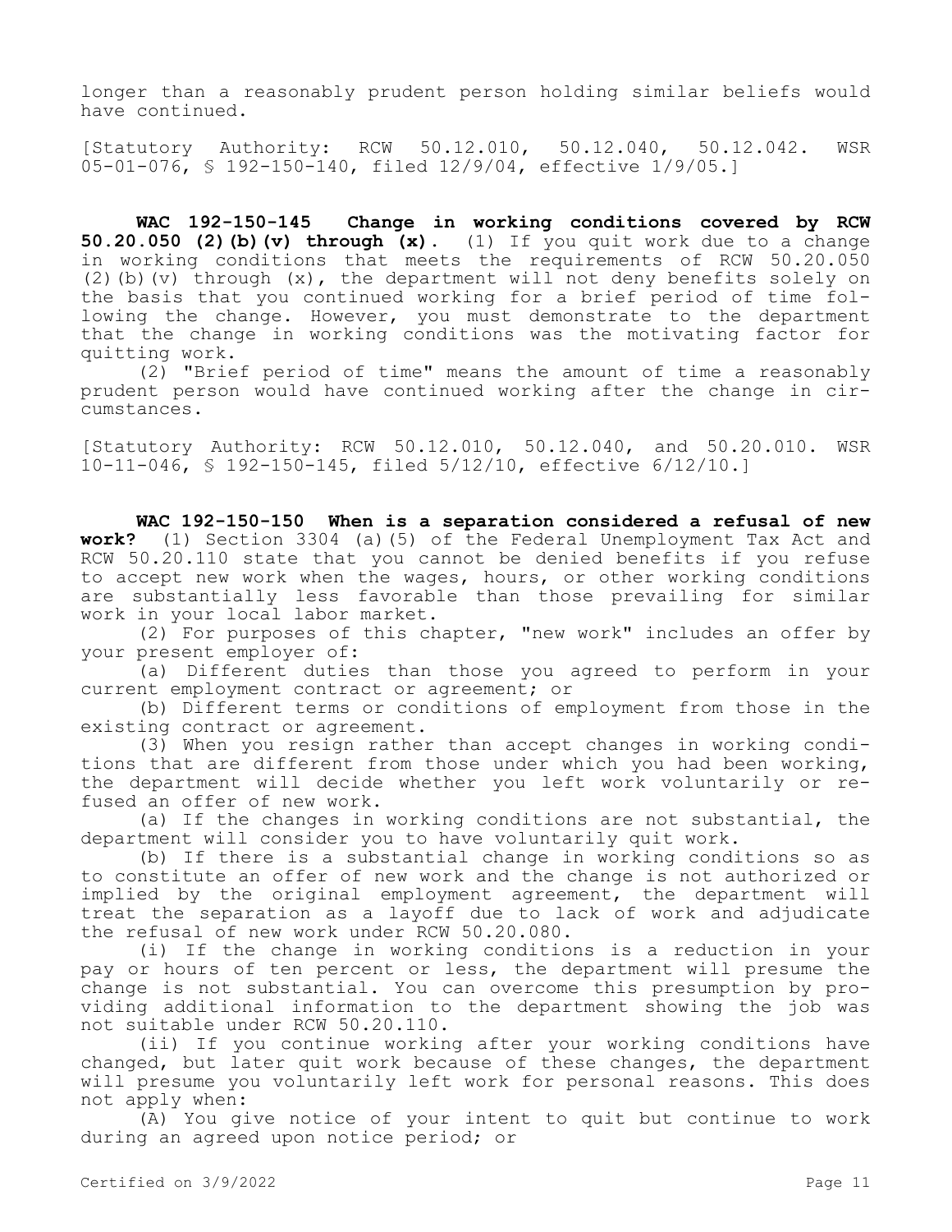longer than a reasonably prudent person holding similar beliefs would have continued.

[Statutory Authority: RCW 50.12.010, 50.12.040, 50.12.042. WSR 05-01-076, § 192-150-140, filed 12/9/04, effective 1/9/05.]

**WAC 192-150-145 Change in working conditions covered by RCW 50.20.050 (2)(b)(v) through (x).** (1) If you quit work due to a change in working conditions that meets the requirements of RCW 50.20.050 (2)(b)(v) through  $(x)$ , the department will not deny benefits solely on the basis that you continued working for a brief period of time following the change. However, you must demonstrate to the department that the change in working conditions was the motivating factor for quitting work.

(2) "Brief period of time" means the amount of time a reasonably prudent person would have continued working after the change in circumstances.

[Statutory Authority: RCW 50.12.010, 50.12.040, and 50.20.010. WSR 10-11-046, § 192-150-145, filed 5/12/10, effective 6/12/10.]

**WAC 192-150-150 When is a separation considered a refusal of new work?** (1) Section 3304 (a) (5) of the Federal Unemployment Tax Act and **work?** (1) Section 3304 (a)(5) of the Federal Unemployment Tax Act and RCW 50.20.110 state that you cannot be denied benefits if you refuse to accept new work when the wages, hours, or other working conditions are substantially less favorable than those prevailing for similar work in your local labor market.

(2) For purposes of this chapter, "new work" includes an offer by your present employer of:

(a) Different duties than those you agreed to perform in your current employment contract or agreement; or

(b) Different terms or conditions of employment from those in the existing contract or agreement.

(3) When you resign rather than accept changes in working conditions that are different from those under which you had been working, the department will decide whether you left work voluntarily or refused an offer of new work.

(a) If the changes in working conditions are not substantial, the department will consider you to have voluntarily quit work.

(b) If there is a substantial change in working conditions so as to constitute an offer of new work and the change is not authorized or implied by the original employment agreement, the department will treat the separation as a layoff due to lack of work and adjudicate the refusal of new work under RCW 50.20.080.

(i) If the change in working conditions is a reduction in your pay or hours of ten percent or less, the department will presume the change is not substantial. You can overcome this presumption by providing additional information to the department showing the job was not suitable under RCW 50.20.110.

(ii) If you continue working after your working conditions have changed, but later quit work because of these changes, the department will presume you voluntarily left work for personal reasons. This does not apply when:

(A) You give notice of your intent to quit but continue to work during an agreed upon notice period; or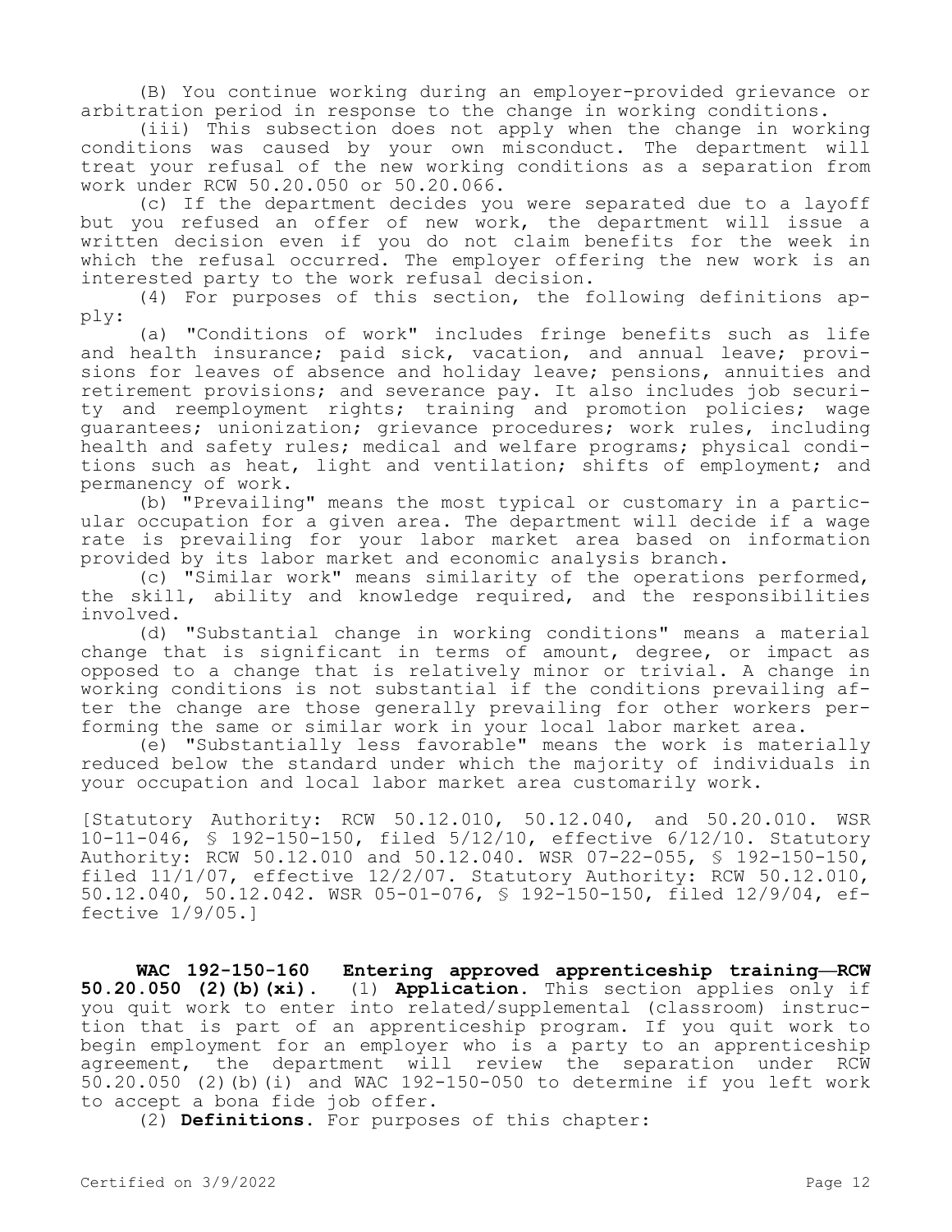(B) You continue working during an employer-provided grievance or arbitration period in response to the change in working conditions.

(iii) This subsection does not apply when the change in working conditions was caused by your own misconduct. The department will treat your refusal of the new working conditions as a separation from work under RCW 50.20.050 or 50.20.066.

(c) If the department decides you were separated due to a layoff but you refused an offer of new work, the department will issue a written decision even if you do not claim benefits for the week in which the refusal occurred. The employer offering the new work is an interested party to the work refusal decision.

(4) For purposes of this section, the following definitions apply:

(a) "Conditions of work" includes fringe benefits such as life and health insurance; paid sick, vacation, and annual leave; provisions for leaves of absence and holiday leave; pensions, annuities and retirement provisions; and severance pay. It also includes job security and reemployment rights; training and promotion policies; wage guarantees; unionization; grievance procedures; work rules, including health and safety rules; medical and welfare programs; physical conditions such as heat, light and ventilation; shifts of employment; and permanency of work.

(b) "Prevailing" means the most typical or customary in a particular occupation for a given area. The department will decide if a wage rate is prevailing for your labor market area based on information provided by its labor market and economic analysis branch.

(c) "Similar work" means similarity of the operations performed, the skill, ability and knowledge required, and the responsibilities involved.

(d) "Substantial change in working conditions" means a material change that is significant in terms of amount, degree, or impact as opposed to a change that is relatively minor or trivial. A change in working conditions is not substantial if the conditions prevailing after the change are those generally prevailing for other workers performing the same or similar work in your local labor market area.

(e) "Substantially less favorable" means the work is materially reduced below the standard under which the majority of individuals in your occupation and local labor market area customarily work.

[Statutory Authority: RCW 50.12.010, 50.12.040, and 50.20.010. WSR 10-11-046, § 192-150-150, filed 5/12/10, effective 6/12/10. Statutory Authority: RCW 50.12.010 and 50.12.040. WSR 07-22-055, § 192-150-150, filed  $11/1/07$ , effective  $12/2/07$ . Statutory Authority: RCW 50.12.010, 50.12.040, 50.12.042. WSR 05-01-076, § 192-150-150, filed 12/9/04, effective 1/9/05.]

**WAC 192-150-160 Entering approved apprenticeship training—RCW 50.20.050 (2)(b)(xi).** (1) **Application.** This section applies only if you quit work to enter into related/supplemental (classroom) instruction that is part of an apprenticeship program. If you quit work to begin employment for an employer who is a party to an apprenticeship agreement, the department will review the separation under RCW 50.20.050 (2)(b)(i) and WAC 192-150-050 to determine if you left work to accept a bona fide job offer.

(2) **Definitions.** For purposes of this chapter: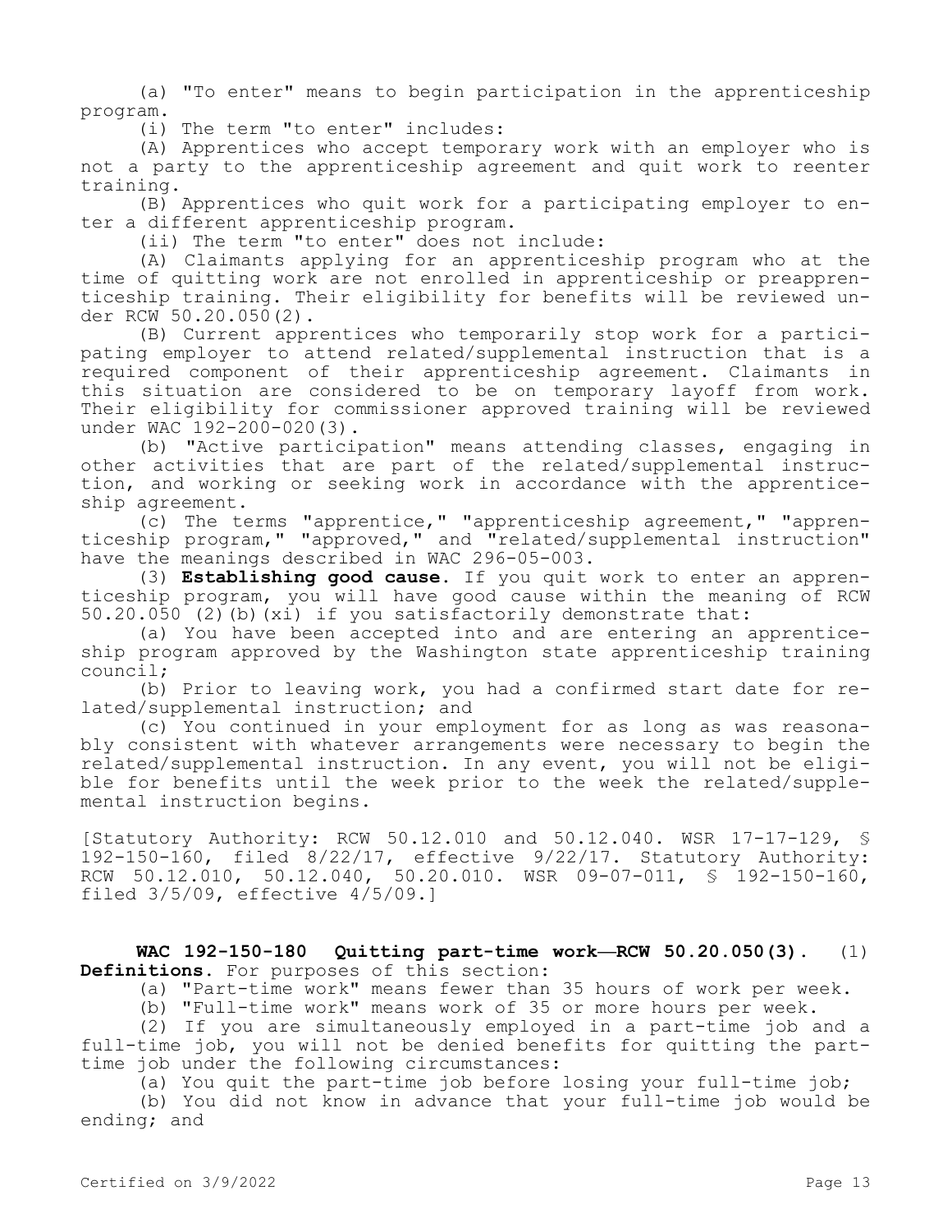(a) "To enter" means to begin participation in the apprenticeship program.

(i) The term "to enter" includes:

(A) Apprentices who accept temporary work with an employer who is not a party to the apprenticeship agreement and quit work to reenter training.

(B) Apprentices who quit work for a participating employer to enter a different apprenticeship program.

(ii) The term "to enter" does not include:

(A) Claimants applying for an apprenticeship program who at the time of quitting work are not enrolled in apprenticeship or preapprenticeship training. Their eligibility for benefits will be reviewed under RCW 50.20.050(2).

(B) Current apprentices who temporarily stop work for a participating employer to attend related/supplemental instruction that is a required component of their apprenticeship agreement. Claimants in this situation are considered to be on temporary layoff from work. Their eligibility for commissioner approved training will be reviewed under WAC 192-200-020(3).

(b) "Active participation" means attending classes, engaging in other activities that are part of the related/supplemental instruction, and working or seeking work in accordance with the apprenticeship agreement.

(c) The terms "apprentice," "apprenticeship agreement," "apprenticeship program," "approved," and "related/supplemental instruction" have the meanings described in WAC 296-05-003.

(3) **Establishing good cause.** If you quit work to enter an apprenticeship program, you will have good cause within the meaning of RCW  $50.20.050$  (2) (b) (xi) if you satisfactorily demonstrate that:

(a) You have been accepted into and are entering an apprenticeship program approved by the Washington state apprenticeship training council;

(b) Prior to leaving work, you had a confirmed start date for related/supplemental instruction; and

(c) You continued in your employment for as long as was reasonably consistent with whatever arrangements were necessary to begin the related/supplemental instruction. In any event, you will not be eligible for benefits until the week prior to the week the related/supplemental instruction begins.

[Statutory Authority: RCW 50.12.010 and 50.12.040. WSR 17-17-129, § 192-150-160, filed 8/22/17, effective 9/22/17. Statutory Authority: RCW 50.12.010, 50.12.040, 50.20.010. WSR 09-07-011, § 192-150-160, filed 3/5/09, effective 4/5/09.]

**WAC 192-150-180 Quitting part-time work—RCW 50.20.050(3).** (1) **Definitions.** For purposes of this section:

(a) "Part-time work" means fewer than 35 hours of work per week.

(b) "Full-time work" means work of 35 or more hours per week.

(2) If you are simultaneously employed in a part-time job and a full-time job, you will not be denied benefits for quitting the parttime job under the following circumstances:

(a) You quit the part-time job before losing your full-time job;

(b) You did not know in advance that your full-time job would be ending; and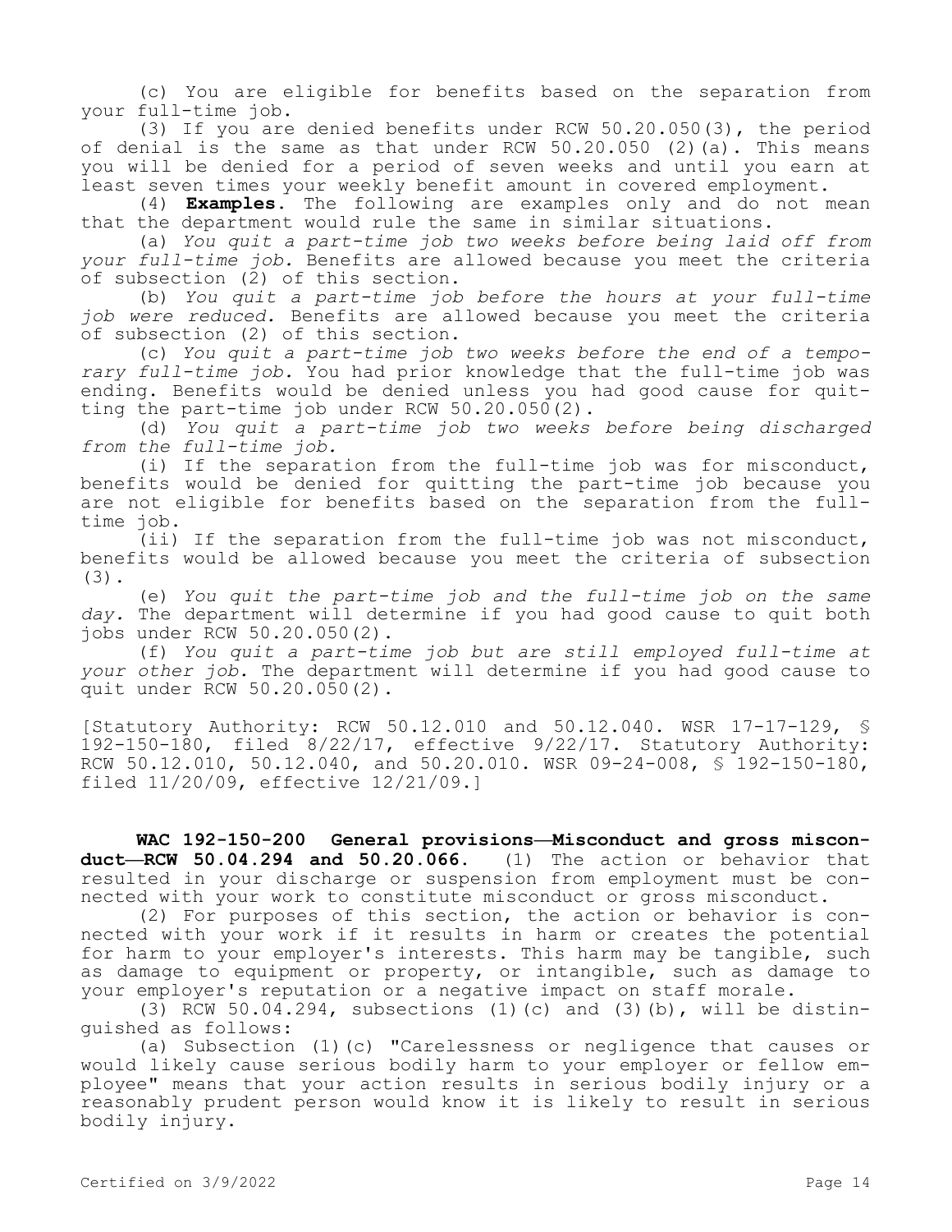(c) You are eligible for benefits based on the separation from your full-time job.

(3) If you are denied benefits under RCW 50.20.050(3), the period of denial is the same as that under RCW 50.20.050 (2)(a). This means you will be denied for a period of seven weeks and until you earn at least seven times your weekly benefit amount in covered employment.

(4) **Examples.** The following are examples only and do not mean that the department would rule the same in similar situations.

(a) *You quit a part-time job two weeks before being laid off from your full-time job.* Benefits are allowed because you meet the criteria of subsection  $(2)$  of this section.

(b) *You quit a part-time job before the hours at your full-time job were reduced.* Benefits are allowed because you meet the criteria of subsection (2) of this section.

(c) *You quit a part-time job two weeks before the end of a temporary full-time job.* You had prior knowledge that the full-time job was ending. Benefits would be denied unless you had good cause for quitting the part-time job under RCW 50.20.050(2).

(d) *You quit a part-time job two weeks before being discharged from the full-time job.*

(i) If the separation from the full-time job was for misconduct, benefits would be denied for quitting the part-time job because you are not eligible for benefits based on the separation from the fulltime job.

(ii) If the separation from the full-time job was not misconduct, benefits would be allowed because you meet the criteria of subsection (3).

(e) *You quit the part-time job and the full-time job on the same day.* The department will determine if you had good cause to quit both jobs under RCW 50.20.050(2).

(f) *You quit a part-time job but are still employed full-time at your other job.* The department will determine if you had good cause to quit under RCW 50.20.050(2).

[Statutory Authority: RCW 50.12.010 and 50.12.040. WSR 17-17-129, § 192-150-180, filed 8/22/17, effective 9/22/17. Statutory Authority: RCW 50.12.010, 50.12.040, and 50.20.010. WSR 09-24-008, \$ 192-150-180, filed 11/20/09, effective 12/21/09.]

**WAC 192-150-200 General provisions—Misconduct and gross misconduct—RCW 50.04.294 and 50.20.066.** (1) The action or behavior that resulted in your discharge or suspension from employment must be connected with your work to constitute misconduct or gross misconduct.

(2) For purposes of this section, the action or behavior is connected with your work if it results in harm or creates the potential for harm to your employer's interests. This harm may be tangible, such as damage to equipment or property, or intangible, such as damage to your employer's reputation or a negative impact on staff morale.

(3) RCW 50.04.294, subsections (1)(c) and (3)(b), will be distinguished as follows:

(a) Subsection (1)(c) "Carelessness or negligence that causes or would likely cause serious bodily harm to your employer or fellow employee" means that your action results in serious bodily injury or a reasonably prudent person would know it is likely to result in serious bodily injury.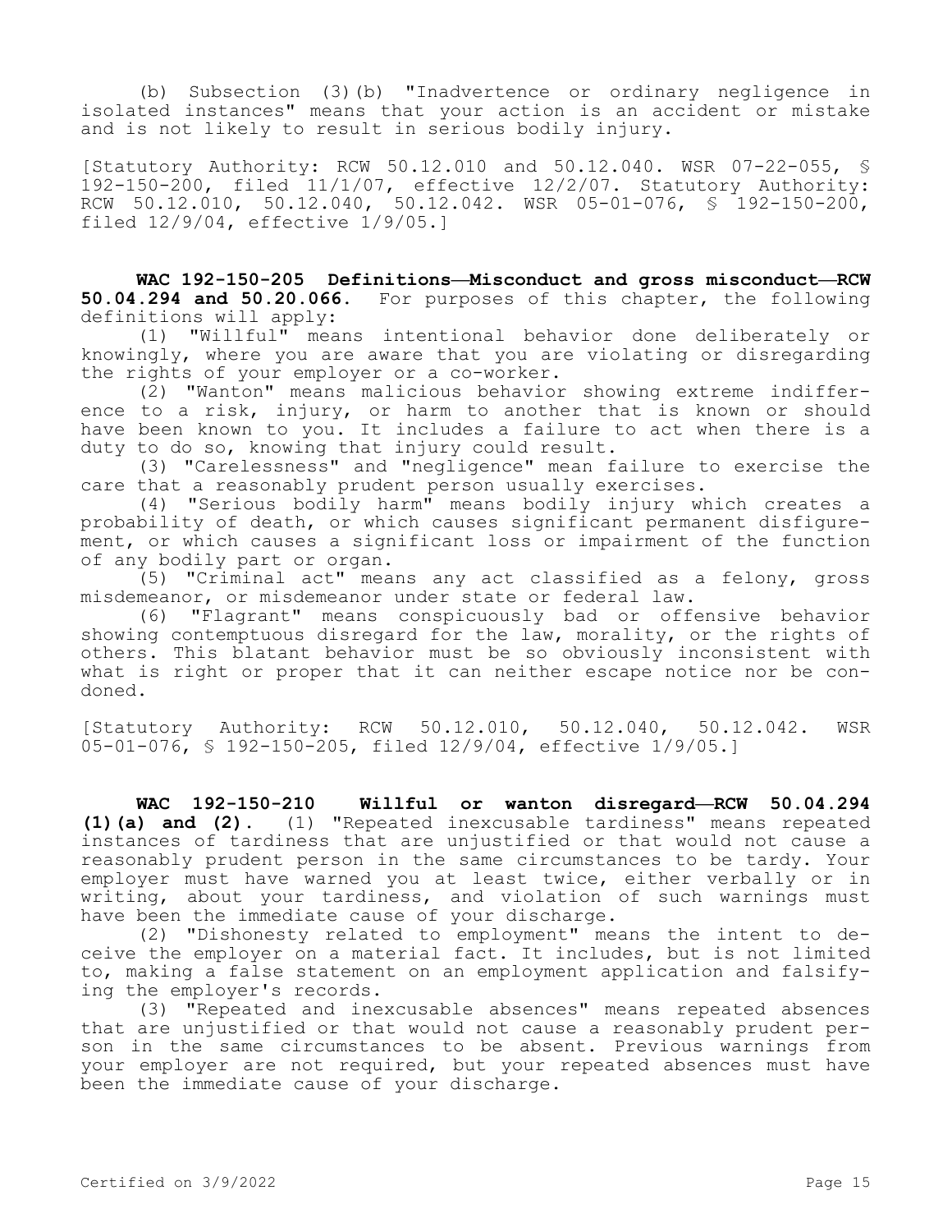(b) Subsection (3)(b) "Inadvertence or ordinary negligence in isolated instances" means that your action is an accident or mistake and is not likely to result in serious bodily injury.

[Statutory Authority: RCW 50.12.010 and 50.12.040. WSR 07-22-055, § 192-150-200, filed 11/1/07, effective 12/2/07. Statutory Authority: RCW 50.12.010, 50.12.040, 50.12.042. WSR 05-01-076, § 192-150-200, filed 12/9/04, effective 1/9/05.]

**WAC 192-150-205 Definitions—Misconduct and gross misconduct—RCW 50.04.294 and 50.20.066.** For purposes of this chapter, the following definitions will apply:

(1) "Willful" means intentional behavior done deliberately or knowingly, where you are aware that you are violating or disregarding the rights of your employer or a co-worker.

(2) "Wanton" means malicious behavior showing extreme indifference to a risk, injury, or harm to another that is known or should have been known to you. It includes a failure to act when there is a duty to do so, knowing that injury could result.

(3) "Carelessness" and "negligence" mean failure to exercise the care that a reasonably prudent person usually exercises.

(4) "Serious bodily harm" means bodily injury which creates a probability of death, or which causes significant permanent disfigurement, or which causes a significant loss or impairment of the function of any bodily part or organ.

(5) "Criminal act" means any act classified as a felony, gross misdemeanor, or misdemeanor under state or federal law.

(6) "Flagrant" means conspicuously bad or offensive behavior showing contemptuous disregard for the law, morality, or the rights of others. This blatant behavior must be so obviously inconsistent with what is right or proper that it can neither escape notice nor be condoned.

[Statutory Authority: RCW 50.12.010, 50.12.040, 50.12.042. WSR 05-01-076, § 192-150-205, filed 12/9/04, effective 1/9/05.]

**WAC 192-150-210 Willful or wanton disregard—RCW 50.04.294 (1)(a) and (2).** (1) "Repeated inexcusable tardiness" means repeated instances of tardiness that are unjustified or that would not cause a reasonably prudent person in the same circumstances to be tardy. Your employer must have warned you at least twice, either verbally or in writing, about your tardiness, and violation of such warnings must have been the immediate cause of your discharge.

(2) "Dishonesty related to employment" means the intent to deceive the employer on a material fact. It includes, but is not limited to, making a false statement on an employment application and falsifying the employer's records.

(3) "Repeated and inexcusable absences" means repeated absences that are unjustified or that would not cause a reasonably prudent person in the same circumstances to be absent. Previous warnings from your employer are not required, but your repeated absences must have been the immediate cause of your discharge.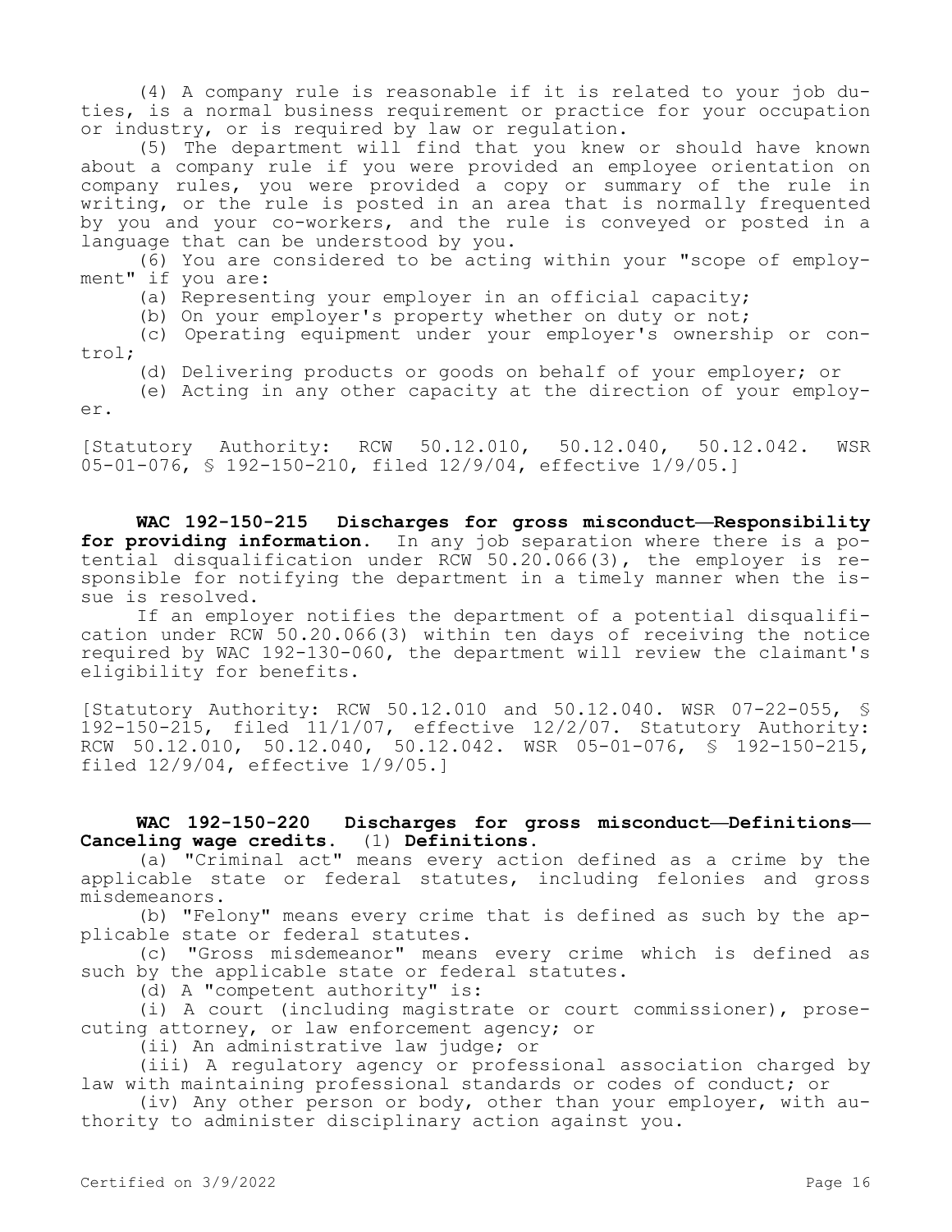(4) A company rule is reasonable if it is related to your job duties, is a normal business requirement or practice for your occupation or industry, or is required by law or regulation.

(5) The department will find that you knew or should have known about a company rule if you were provided an employee orientation on company rules, you were provided a copy or summary of the rule in writing, or the rule is posted in an area that is normally frequented by you and your co-workers, and the rule is conveyed or posted in a language that can be understood by you.

(6) You are considered to be acting within your "scope of employment" if you are:

(a) Representing your employer in an official capacity;

(b) On your employer's property whether on duty or not;

(c) Operating equipment under your employer's ownership or control;

(d) Delivering products or goods on behalf of your employer; or

(e) Acting in any other capacity at the direction of your employer.

[Statutory Authority: RCW 50.12.010, 50.12.040, 50.12.042. WSR 05-01-076, § 192-150-210, filed 12/9/04, effective 1/9/05.]

**WAC 192-150-215 Discharges for gross misconduct—Responsibility**  for providing information. In any job separation where there is a potential disqualification under RCW 50.20.066(3), the employer is responsible for notifying the department in a timely manner when the issue is resolved.

If an employer notifies the department of a potential disqualification under RCW 50.20.066(3) within ten days of receiving the notice required by WAC 192-130-060, the department will review the claimant's eligibility for benefits.

[Statutory Authority: RCW 50.12.010 and 50.12.040. WSR 07-22-055, § 192-150-215, filed 11/1/07, effective 12/2/07. Statutory Authority: RCW 50.12.010, 50.12.040, 50.12.042. WSR 05-01-076, § 192-150-215, filed 12/9/04, effective 1/9/05.]

**WAC 192-150-220 Discharges for gross misconduct—Definitions— Canceling wage credits.** (1) **Definitions.**

(a) "Criminal act" means every action defined as a crime by the applicable state or federal statutes, including felonies and gross misdemeanors.

(b) "Felony" means every crime that is defined as such by the applicable state or federal statutes.

(c) "Gross misdemeanor" means every crime which is defined as such by the applicable state or federal statutes.

(d) A "competent authority" is:

(i) A court (including magistrate or court commissioner), prosecuting attorney, or law enforcement agency; or

(ii) An administrative law judge; or

(iii) A regulatory agency or professional association charged by law with maintaining professional standards or codes of conduct; or

(iv) Any other person or body, other than your employer, with authority to administer disciplinary action against you.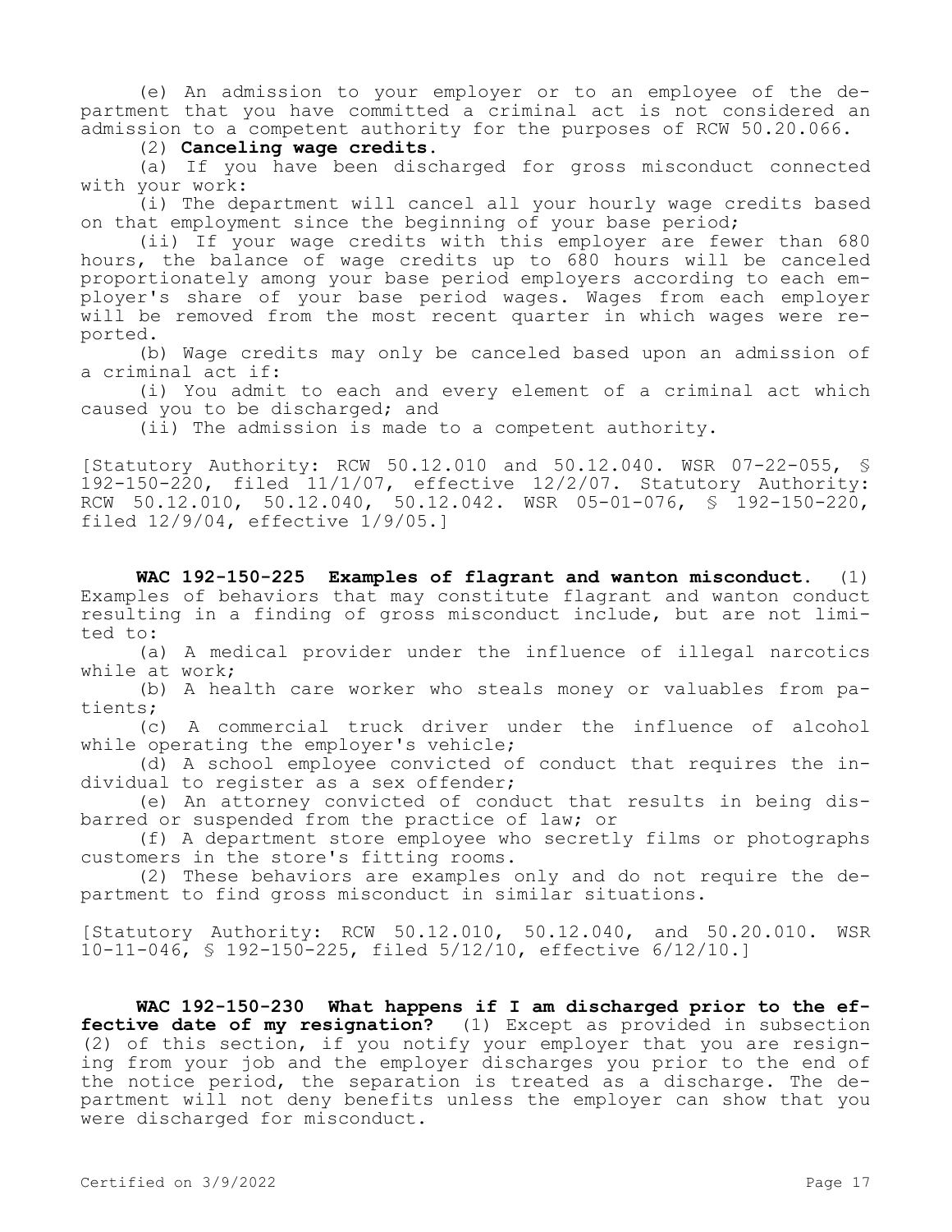(e) An admission to your employer or to an employee of the department that you have committed a criminal act is not considered an admission to a competent authority for the purposes of RCW 50.20.066.

(2) **Canceling wage credits.**

(a) If you have been discharged for gross misconduct connected with your work:

(i) The department will cancel all your hourly wage credits based on that employment since the beginning of your base period;

(ii) If your wage credits with this employer are fewer than 680 hours, the balance of wage credits up to 680 hours will be canceled proportionately among your base period employers according to each employer's share of your base period wages. Wages from each employer will be removed from the most recent quarter in which wages were reported.

(b) Wage credits may only be canceled based upon an admission of a criminal act if:

(i) You admit to each and every element of a criminal act which caused you to be discharged; and

(ii) The admission is made to a competent authority.

[Statutory Authority: RCW 50.12.010 and 50.12.040. WSR 07-22-055, § 192-150-220, filed 11/1/07, effective 12/2/07. Statutory Authority: RCW 50.12.010, 50.12.040, 50.12.042. WSR 05-01-076, § 192-150-220, filed 12/9/04, effective 1/9/05.]

**WAC 192-150-225 Examples of flagrant and wanton misconduct.** (1) Examples of behaviors that may constitute flagrant and wanton conduct resulting in a finding of gross misconduct include, but are not limited to:

(a) A medical provider under the influence of illegal narcotics while at work;

(b) A health care worker who steals money or valuables from patients;

(c) A commercial truck driver under the influence of alcohol while operating the employer's vehicle;

(d) A school employee convicted of conduct that requires the individual to register as a sex offender;

(e) An attorney convicted of conduct that results in being disbarred or suspended from the practice of law; or

(f) A department store employee who secretly films or photographs customers in the store's fitting rooms.

(2) These behaviors are examples only and do not require the department to find gross misconduct in similar situations.

[Statutory Authority: RCW 50.12.010, 50.12.040, and 50.20.010. WSR 10-11-046, § 192-150-225, filed 5/12/10, effective 6/12/10.]

**WAC 192-150-230 What happens if I am discharged prior to the effective date of my resignation?** (1) Except as provided in subsection (2) of this section, if you notify your employer that you are resigning from your job and the employer discharges you prior to the end of the notice period, the separation is treated as a discharge. The department will not deny benefits unless the employer can show that you were discharged for misconduct.